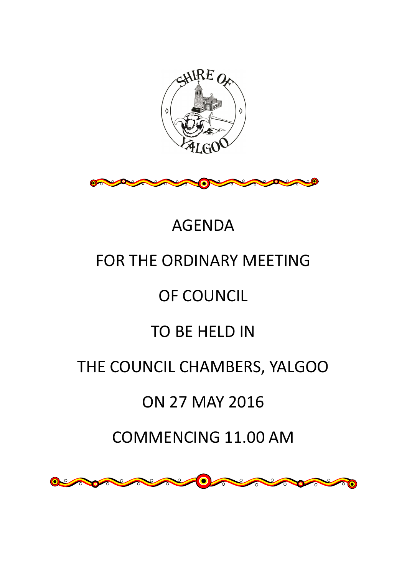



# AGENDA

# FOR THE ORDINARY MEETING

# OF COUNCIL

# TO BE HELD IN

# THE COUNCIL CHAMBERS, YALGOO

# ON 27 MAY 2016

COMMENCING 11.00 AM

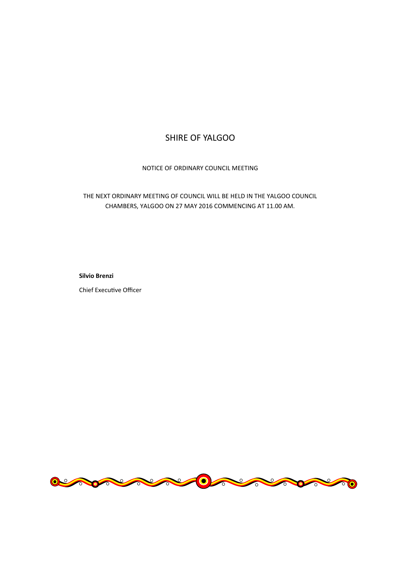## SHIRE OF YALGOO

NOTICE OF ORDINARY COUNCIL MEETING

THE NEXT ORDINARY MEETING OF COUNCIL WILL BE HELD IN THE YALGOO COUNCIL CHAMBERS, YALGOO ON 27 MAY 2016 COMMENCING AT 11.00 AM.

**Silvio Brenzi**

Chief Executive Officer

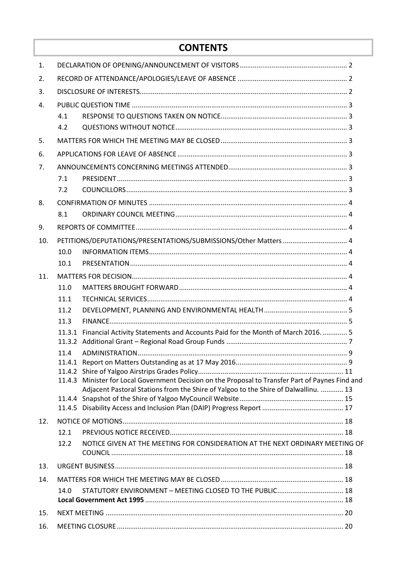# **CONTENTS**

| 1.  |        |                                                                                                                                                                                   |  |  |  |
|-----|--------|-----------------------------------------------------------------------------------------------------------------------------------------------------------------------------------|--|--|--|
| 2.  |        |                                                                                                                                                                                   |  |  |  |
| 3.  |        |                                                                                                                                                                                   |  |  |  |
| 4.  |        |                                                                                                                                                                                   |  |  |  |
|     | 4.1    |                                                                                                                                                                                   |  |  |  |
|     | 4.2    |                                                                                                                                                                                   |  |  |  |
| 5.  |        |                                                                                                                                                                                   |  |  |  |
| 6.  |        |                                                                                                                                                                                   |  |  |  |
| 7.  |        |                                                                                                                                                                                   |  |  |  |
|     | 7.1    |                                                                                                                                                                                   |  |  |  |
|     | 7.2    |                                                                                                                                                                                   |  |  |  |
| 8.  |        |                                                                                                                                                                                   |  |  |  |
|     | 8.1    |                                                                                                                                                                                   |  |  |  |
| 9.  |        |                                                                                                                                                                                   |  |  |  |
| 10. |        | PETITIONS/DEPUTATIONS/PRESENTATIONS/SUBMISSIONS/Other Matters  4                                                                                                                  |  |  |  |
|     | 10.0   |                                                                                                                                                                                   |  |  |  |
|     | 10.1   |                                                                                                                                                                                   |  |  |  |
| 11. |        |                                                                                                                                                                                   |  |  |  |
|     | 11.0   |                                                                                                                                                                                   |  |  |  |
|     | 11.1   |                                                                                                                                                                                   |  |  |  |
|     | 11.2   |                                                                                                                                                                                   |  |  |  |
|     | 11.3   |                                                                                                                                                                                   |  |  |  |
|     | 11.3.1 | Financial Activity Statements and Accounts Paid for the Month of March 2016 5                                                                                                     |  |  |  |
|     | 11.4   |                                                                                                                                                                                   |  |  |  |
|     |        |                                                                                                                                                                                   |  |  |  |
|     |        |                                                                                                                                                                                   |  |  |  |
|     | 11.4.3 | Minister for Local Government Decision on the Proposal to Transfer Part of Paynes Find and<br>Adjacent Pastoral Stations from the Shire of Yalgoo to the Shire of Dalwallinu.  13 |  |  |  |
|     |        |                                                                                                                                                                                   |  |  |  |
|     |        |                                                                                                                                                                                   |  |  |  |
| 12. |        |                                                                                                                                                                                   |  |  |  |
|     | 12.1   |                                                                                                                                                                                   |  |  |  |
|     | 12.2   | NOTICE GIVEN AT THE MEETING FOR CONSIDERATION AT THE NEXT ORDINARY MEETING OF                                                                                                     |  |  |  |
| 13. |        |                                                                                                                                                                                   |  |  |  |
| 14. |        |                                                                                                                                                                                   |  |  |  |
|     | 14.0   | STATUTORY ENVIRONMENT - MEETING CLOSED TO THE PUBLIC 18                                                                                                                           |  |  |  |
|     |        |                                                                                                                                                                                   |  |  |  |
| 15. |        |                                                                                                                                                                                   |  |  |  |
| 16. |        |                                                                                                                                                                                   |  |  |  |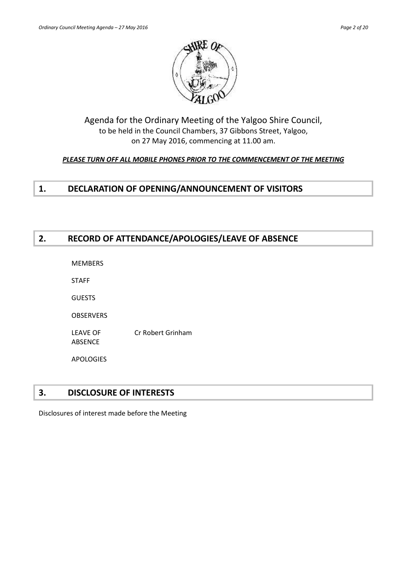

Agenda for the Ordinary Meeting of the Yalgoo Shire Council, to be held in the Council Chambers, 37 Gibbons Street, Yalgoo, on 27 May 2016, commencing at 11.00 am.

#### *PLEASE TURN OFF ALL MOBILE PHONES PRIOR TO THE COMMENCEMENT OF THE MEETING*

## <span id="page-3-0"></span>**1. DECLARATION OF OPENING/ANNOUNCEMENT OF VISITORS**

## <span id="page-3-1"></span>**2. RECORD OF ATTENDANCE/APOLOGIES/LEAVE OF ABSENCE**

MEMBERS STAFF GUESTS OBSERVERS LEAVE OF

Cr Robert Grinham

APOLOGIES

ABSENCE

## <span id="page-3-2"></span>**3. DISCLOSURE OF INTERESTS**

Disclosures of interest made before the Meeting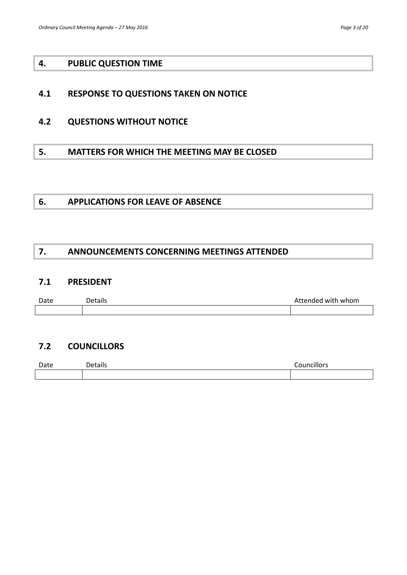## <span id="page-4-0"></span>**4. PUBLIC QUESTION TIME**

## <span id="page-4-1"></span>**4.1 RESPONSE TO QUESTIONS TAKEN ON NOTICE**

<span id="page-4-3"></span><span id="page-4-2"></span>**4.2 QUESTIONS WITHOUT NOTICE**

## **5. MATTERS FOR WHICH THE MEETING MAY BE CLOSED**

## <span id="page-4-4"></span>**6. APPLICATIONS FOR LEAVE OF ABSENCE**

## <span id="page-4-5"></span>**7. ANNOUNCEMENTS CONCERNING MEETINGS ATTENDED**

## <span id="page-4-6"></span>**7.1 PRESIDENT**

| Date | Details | Attended<br>' with whom |
|------|---------|-------------------------|
|      |         |                         |

## <span id="page-4-7"></span>**7.2 COUNCILLORS**

| Date | つetails | councillors |
|------|---------|-------------|
|      |         |             |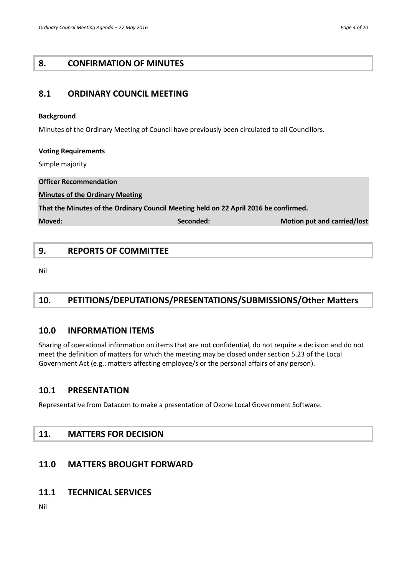### <span id="page-5-0"></span>**8. CONFIRMATION OF MINUTES**

### <span id="page-5-1"></span>**8.1 ORDINARY COUNCIL MEETING**

#### **Background**

Minutes of the Ordinary Meeting of Council have previously been circulated to all Councillors.

#### **Voting Requirements**

Simple majority

**Officer Recommendation Minutes of the Ordinary Meeting That the Minutes of the Ordinary Council Meeting held on 22 April 2016 be confirmed. Moved: Seconded: Motion put and carried/lost** 

## <span id="page-5-2"></span>**9. REPORTS OF COMMITTEE**

<span id="page-5-3"></span>Nil

## **10. PETITIONS/DEPUTATIONS/PRESENTATIONS/SUBMISSIONS/Other Matters**

## <span id="page-5-4"></span>**10.0 INFORMATION ITEMS**

Sharing of operational information on items that are not confidential, do not require a decision and do not meet the definition of matters for which the meeting may be closed under section 5.23 of the Local Government Act (e.g.: matters affecting employee/s or the personal affairs of any person).

## <span id="page-5-5"></span>**10.1 PRESENTATION**

<span id="page-5-6"></span>Representative from Datacom to make a presentation of Ozone Local Government Software.

## **11. MATTERS FOR DECISION**

## <span id="page-5-8"></span><span id="page-5-7"></span>**11.0 MATTERS BROUGHT FORWARD**

- **11.1 TECHNICAL SERVICES**
- Nil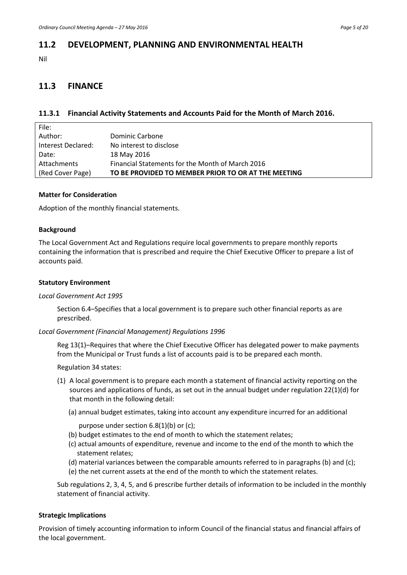## <span id="page-6-0"></span>**11.2 DEVELOPMENT, PLANNING AND ENVIRONMENTAL HEALTH**

<span id="page-6-1"></span>Nil

### **11.3 FINANCE**

#### <span id="page-6-2"></span>**11.3.1 Financial Activity Statements and Accounts Paid for the Month of March 2016.**

| File:              |                                                     |
|--------------------|-----------------------------------------------------|
| Author:            | Dominic Carbone                                     |
| Interest Declared: | No interest to disclose                             |
| Date:              | 18 May 2016                                         |
| Attachments        | Financial Statements for the Month of March 2016    |
| (Red Cover Page)   | TO BE PROVIDED TO MEMBER PRIOR TO OR AT THE MEETING |

#### **Matter for Consideration**

Adoption of the monthly financial statements.

#### **Background**

The Local Government Act and Regulations require local governments to prepare monthly reports containing the information that is prescribed and require the Chief Executive Officer to prepare a list of accounts paid.

#### **Statutory Environment**

#### *Local Government Act 1995*

Section 6.4–Specifies that a local government is to prepare such other financial reports as are prescribed.

#### *Local Government (Financial Management) Regulations 1996*

Reg 13(1)–Requires that where the Chief Executive Officer has delegated power to make payments from the Municipal or Trust funds a list of accounts paid is to be prepared each month.

Regulation 34 states:

- (1) A local government is to prepare each month a statement of financial activity reporting on the sources and applications of funds, as set out in the annual budget under regulation 22(1)(d) for that month in the following detail:
	- (a) annual budget estimates, taking into account any expenditure incurred for an additional

purpose under section 6.8(1)(b) or (c);

- (b) budget estimates to the end of month to which the statement relates;
- (c) actual amounts of expenditure, revenue and income to the end of the month to which the statement relates;
- (d) material variances between the comparable amounts referred to in paragraphs (b) and (c);
- (e) the net current assets at the end of the month to which the statement relates.

Sub regulations 2, 3, 4, 5, and 6 prescribe further details of information to be included in the monthly statement of financial activity.

#### **Strategic Implications**

Provision of timely accounting information to inform Council of the financial status and financial affairs of the local government.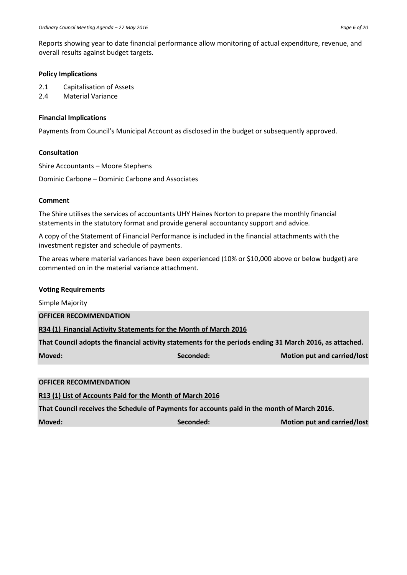Reports showing year to date financial performance allow monitoring of actual expenditure, revenue, and overall results against budget targets.

#### **Policy Implications**

- 2.1 Capitalisation of Assets
- 2.4 Material Variance

#### **Financial Implications**

Payments from Council's Municipal Account as disclosed in the budget or subsequently approved.

#### **Consultation**

Shire Accountants – Moore Stephens

Dominic Carbone – Dominic Carbone and Associates

#### **Comment**

The Shire utilises the services of accountants UHY Haines Norton to prepare the monthly financial statements in the statutory format and provide general accountancy support and advice.

A copy of the Statement of Financial Performance is included in the financial attachments with the investment register and schedule of payments.

The areas where material variances have been experienced (10% or \$10,000 above or below budget) are commented on in the material variance attachment.

#### **Voting Requirements**

Simple Majority

**OFFICER RECOMMENDATION**

**R34 (1) Financial Activity Statements for the Month of March 2016**

**That Council adopts the financial activity statements for the periods ending 31 March 2016, as attached.**

| <b>Motion put and carried/lost</b> |
|------------------------------------|
|                                    |

#### **OFFICER RECOMMENDATION**

**R13 (1) List of Accounts Paid for the Month of March 2016**

**That Council receives the Schedule of Payments for accounts paid in the month of March 2016.**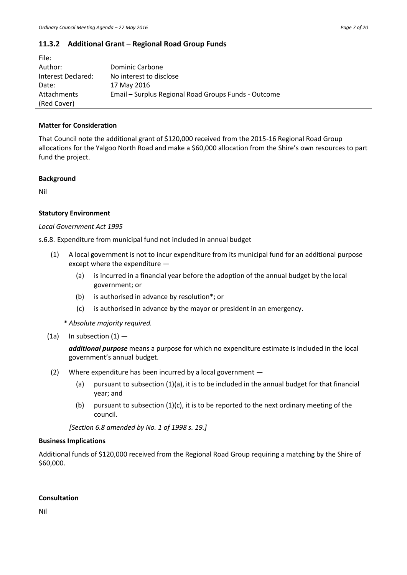#### <span id="page-8-0"></span>**11.3.2 Additional Grant – Regional Road Group Funds**

| File:              |                                                      |
|--------------------|------------------------------------------------------|
| Author:            | Dominic Carbone                                      |
| Interest Declared: | No interest to disclose                              |
| Date:              | 17 May 2016                                          |
| Attachments        | Email - Surplus Regional Road Groups Funds - Outcome |
| (Red Cover)        |                                                      |

#### **Matter for Consideration**

That Council note the additional grant of \$120,000 received from the 2015-16 Regional Road Group allocations for the Yalgoo North Road and make a \$60,000 allocation from the Shire's own resources to part fund the project.

#### **Background**

Nil

#### **Statutory Environment**

#### *Local Government Act 1995*

s.6.8. Expenditure from municipal fund not included in annual budget

- (1) A local government is not to incur expenditure from its municipal fund for an additional purpose except where the expenditure —
	- (a) is incurred in a financial year before the adoption of the annual budget by the local government; or
	- (b) is authorised in advance by resolution\*; or
	- (c) is authorised in advance by the mayor or president in an emergency.
	- *\* Absolute majority required.*
- $(1a)$  In subsection  $(1)$  –

*additional purpose* means a purpose for which no expenditure estimate is included in the local government's annual budget.

- (2) Where expenditure has been incurred by a local government
	- (a) pursuant to subsection (1)(a), it is to be included in the annual budget for that financial year; and
	- (b) pursuant to subsection  $(1)(c)$ , it is to be reported to the next ordinary meeting of the council.

*[Section 6.8 amended by No. 1 of 1998 s. 19.]*

#### **Business Implications**

Additional funds of \$120,000 received from the Regional Road Group requiring a matching by the Shire of \$60,000.

#### **Consultation**

Nil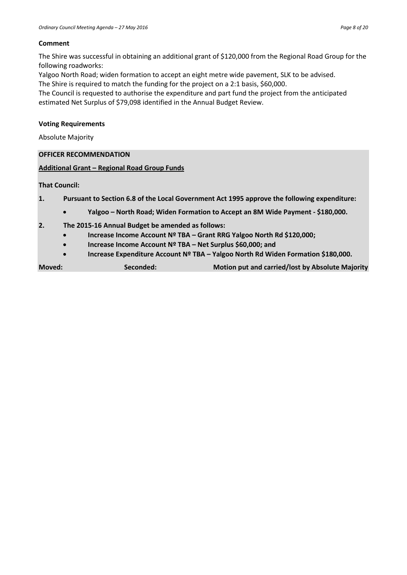#### **Comment**

The Shire was successful in obtaining an additional grant of \$120,000 from the Regional Road Group for the following roadworks:

Yalgoo North Road; widen formation to accept an eight metre wide pavement, SLK to be advised.

The Shire is required to match the funding for the project on a 2:1 basis, \$60,000.

The Council is requested to authorise the expenditure and part fund the project from the anticipated estimated Net Surplus of \$79,098 identified in the Annual Budget Review.

#### **Voting Requirements**

Absolute Majority

#### **OFFICER RECOMMENDATION**

**Additional Grant – Regional Road Group Funds** 

**That Council:**

- **1. Pursuant to Section 6.8 of the Local Government Act 1995 approve the following expenditure:**
	- **Yalgoo – North Road; Widen Formation to Accept an 8M Wide Payment - \$180,000.**
- **2. The 2015-16 Annual Budget be amended as follows:**
	- **Increase Income Account Nº TBA – Grant RRG Yalgoo North Rd \$120,000;**
	- **Increase Income Account Nº TBA – Net Surplus \$60,000; and**
	- **Increase Expenditure Account Nº TBA – Yalgoo North Rd Widen Formation \$180,000.**

**Moved: Seconded: Motion put and carried/lost by Absolute Majority**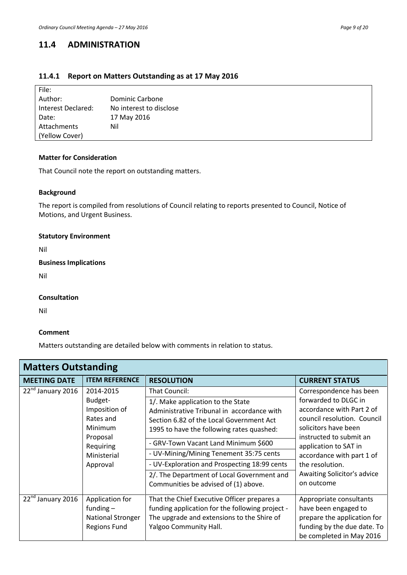## <span id="page-10-1"></span><span id="page-10-0"></span>**11.4 ADMINISTRATION**

#### **11.4.1 Report on Matters Outstanding as at 17 May 2016**

| File:              |                         |
|--------------------|-------------------------|
| Author:            | <b>Dominic Carbone</b>  |
| Interest Declared: | No interest to disclose |
| Date:              | 17 May 2016             |
| Attachments        | Nil                     |
| (Yellow Cover)     |                         |

#### **Matter for Consideration**

That Council note the report on outstanding matters.

#### **Background**

The report is compiled from resolutions of Council relating to reports presented to Council, Notice of Motions, and Urgent Business.

#### **Statutory Environment**

Nil

#### **Business Implications**

Nil

#### **Consultation**

Nil

#### **Comment**

Matters outstanding are detailed below with comments in relation to status.

| <b>Matters Outstanding</b>    |                                                                                                                   |                                                                                                                                                                                                                                                                                                                                                                                                                    |                                                                                                                                                                                                                                                                                      |
|-------------------------------|-------------------------------------------------------------------------------------------------------------------|--------------------------------------------------------------------------------------------------------------------------------------------------------------------------------------------------------------------------------------------------------------------------------------------------------------------------------------------------------------------------------------------------------------------|--------------------------------------------------------------------------------------------------------------------------------------------------------------------------------------------------------------------------------------------------------------------------------------|
| <b>MEETING DATE</b>           | <b>ITEM REFERENCE</b>                                                                                             | <b>RESOLUTION</b>                                                                                                                                                                                                                                                                                                                                                                                                  | <b>CURRENT STATUS</b>                                                                                                                                                                                                                                                                |
| 22 <sup>nd</sup> January 2016 | 2014-2015<br>Budget-<br>Imposition of<br>Rates and<br>Minimum<br>Proposal<br>Requiring<br>Ministerial<br>Approval | That Council:<br>1/. Make application to the State<br>Administrative Tribunal in accordance with<br>Section 6.82 of the Local Government Act<br>1995 to have the following rates quashed:<br>- GRV-Town Vacant Land Minimum \$600<br>- UV-Mining/Mining Tenement 35:75 cents<br>- UV-Exploration and Prospecting 18:99 cents<br>2/. The Department of Local Government and<br>Communities be advised of (1) above. | Correspondence has been<br>forwarded to DLGC in<br>accordance with Part 2 of<br>council resolution. Council<br>solicitors have been<br>instructed to submit an<br>application to SAT in<br>accordance with part 1 of<br>the resolution.<br>Awaiting Solicitor's advice<br>on outcome |
| 22 <sup>nd</sup> January 2016 | Application for<br>funding $-$<br><b>National Stronger</b><br><b>Regions Fund</b>                                 | That the Chief Executive Officer prepares a<br>funding application for the following project -<br>The upgrade and extensions to the Shire of<br>Yalgoo Community Hall.                                                                                                                                                                                                                                             | Appropriate consultants<br>have been engaged to<br>prepare the application for<br>funding by the due date. To<br>be completed in May 2016                                                                                                                                            |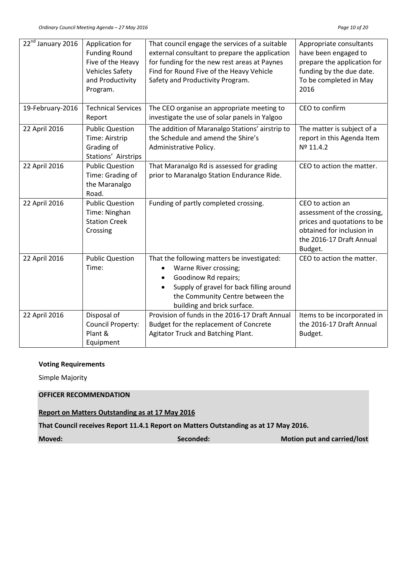| 22 <sup>nd</sup> January 2016 | Application for<br><b>Funding Round</b><br>Five of the Heavy<br><b>Vehicles Safety</b><br>and Productivity<br>Program. | That council engage the services of a suitable<br>external consultant to prepare the application<br>for funding for the new rest areas at Paynes<br>Find for Round Five of the Heavy Vehicle<br>Safety and Productivity Program.   | Appropriate consultants<br>have been engaged to<br>prepare the application for<br>funding by the due date.<br>To be completed in May<br>2016       |
|-------------------------------|------------------------------------------------------------------------------------------------------------------------|------------------------------------------------------------------------------------------------------------------------------------------------------------------------------------------------------------------------------------|----------------------------------------------------------------------------------------------------------------------------------------------------|
| 19-February-2016              | <b>Technical Services</b><br>Report                                                                                    | The CEO organise an appropriate meeting to<br>investigate the use of solar panels in Yalgoo                                                                                                                                        | CEO to confirm                                                                                                                                     |
| 22 April 2016                 | <b>Public Question</b><br>Time: Airstrip<br>Grading of<br>Stations' Airstrips                                          | The addition of Maranalgo Stations' airstrip to<br>the Schedule and amend the Shire's<br>Administrative Policy.                                                                                                                    | The matter is subject of a<br>report in this Agenda Item<br>Nº 11.4.2                                                                              |
| 22 April 2016                 | <b>Public Question</b><br>Time: Grading of<br>the Maranalgo<br>Road.                                                   | That Maranalgo Rd is assessed for grading<br>prior to Maranalgo Station Endurance Ride.                                                                                                                                            | CEO to action the matter.                                                                                                                          |
| 22 April 2016                 | <b>Public Question</b><br>Time: Ninghan<br><b>Station Creek</b><br>Crossing                                            | Funding of partly completed crossing.                                                                                                                                                                                              | CEO to action an<br>assessment of the crossing,<br>prices and quotations to be<br>obtained for inclusion in<br>the 2016-17 Draft Annual<br>Budget. |
| 22 April 2016                 | <b>Public Question</b><br>Time:                                                                                        | That the following matters be investigated:<br>Warne River crossing;<br>٠<br>Goodinow Rd repairs;<br>٠<br>Supply of gravel for back filling around<br>$\bullet$<br>the Community Centre between the<br>building and brick surface. | CEO to action the matter.                                                                                                                          |
| 22 April 2016                 | Disposal of<br><b>Council Property:</b><br>Plant &<br>Equipment                                                        | Provision of funds in the 2016-17 Draft Annual<br>Budget for the replacement of Concrete<br>Agitator Truck and Batching Plant.                                                                                                     | Items to be incorporated in<br>the 2016-17 Draft Annual<br>Budget.                                                                                 |

#### **Voting Requirements**

Simple Majority

#### **OFFICER RECOMMENDATION**

**Report on Matters Outstanding as at 17 May 2016**

**That Council receives Report 11.4.1 Report on Matters Outstanding as at 17 May 2016.**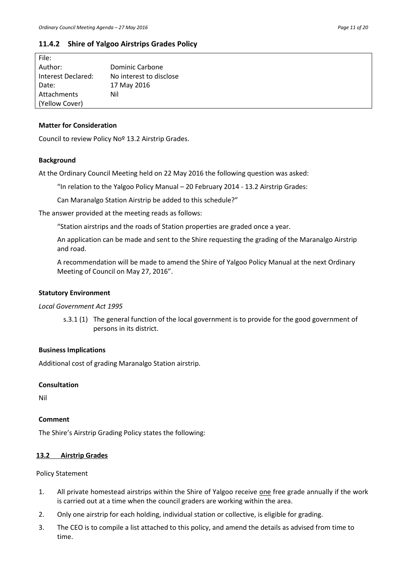#### <span id="page-12-0"></span>**11.4.2 Shire of Yalgoo Airstrips Grades Policy**

| FIIE.              |                         |
|--------------------|-------------------------|
| Author:            | Dominic Carbone         |
| Interest Declared: | No interest to disclose |
| Date:              | 17 May 2016             |
| Attachments        | Nil                     |
| (Yellow Cover)     |                         |

#### **Matter for Consideration**

Council to review Policy Noº 13.2 Airstrip Grades.

#### **Background**

File:

At the Ordinary Council Meeting held on 22 May 2016 the following question was asked:

"In relation to the Yalgoo Policy Manual – 20 February 2014 - 13.2 Airstrip Grades:

Can Maranalgo Station Airstrip be added to this schedule?"

The answer provided at the meeting reads as follows:

"Station airstrips and the roads of Station properties are graded once a year.

An application can be made and sent to the Shire requesting the grading of the Maranalgo Airstrip and road.

A recommendation will be made to amend the Shire of Yalgoo Policy Manual at the next Ordinary Meeting of Council on May 27, 2016".

#### **Statutory Environment**

*Local Government Act 1995*

s.3.1 (1) The general function of the local government is to provide for the good government of persons in its district.

#### **Business Implications**

Additional cost of grading Maranalgo Station airstrip.

#### **Consultation**

Nil

#### **Comment**

The Shire's Airstrip Grading Policy states the following:

#### **13.2 Airstrip Grades**

#### Policy Statement

- 1. All private homestead airstrips within the Shire of Yalgoo receive one free grade annually if the work is carried out at a time when the council graders are working within the area.
- 2. Only one airstrip for each holding, individual station or collective, is eligible for grading.
- 3. The CEO is to compile a list attached to this policy, and amend the details as advised from time to time.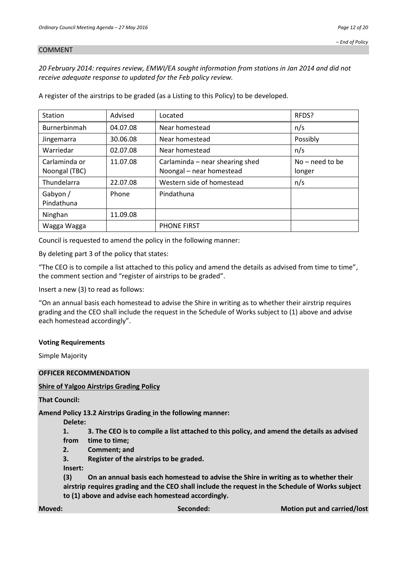#### COMMENT

*20 February 2014: requires review, EMWI/EA sought information from stations in Jan 2014 and did not receive adequate response to updated for the Feb policy review.*

| Station                        | Advised  | Located                                                     | RFDS?                       |
|--------------------------------|----------|-------------------------------------------------------------|-----------------------------|
| Burnerbinmah                   | 04.07.08 | Near homestead                                              | n/s                         |
| Jingemarra                     | 30.06.08 | Near homestead                                              | Possibly                    |
| Warriedar                      | 02.07.08 | Near homestead                                              | n/s                         |
| Carlaminda or<br>Noongal (TBC) | 11.07.08 | Carlaminda - near shearing shed<br>Noongal - near homestead | $No - need to be$<br>longer |
| Thundelarra                    | 22.07.08 | Western side of homestead                                   | n/s                         |
| Gabyon /<br>Pindathuna         | Phone    | Pindathuna                                                  |                             |
| Ninghan                        | 11.09.08 |                                                             |                             |
| Wagga Wagga                    |          | <b>PHONE FIRST</b>                                          |                             |

A register of the airstrips to be graded (as a Listing to this Policy) to be developed.

Council is requested to amend the policy in the following manner:

By deleting part 3 of the policy that states:

"The CEO is to compile a list attached to this policy and amend the details as advised from time to time", the comment section and "register of airstrips to be graded".

Insert a new (3) to read as follows:

"On an annual basis each homestead to advise the Shire in writing as to whether their airstrip requires grading and the CEO shall include the request in the Schedule of Works subject to (1) above and advise each homestead accordingly".

#### **Voting Requirements**

Simple Majority

#### **OFFICER RECOMMENDATION**

#### **Shire of Yalgoo Airstrips Grading Policy**

**That Council:**

**Amend Policy 13.2 Airstrips Grading in the following manner:**

**Delete:**

**1. 3. The CEO is to compile a list attached to this policy, and amend the details as advised** 

**from time to time;**

**2. Comment; and**

**3. Register of the airstrips to be graded.**

**Insert:**

**(3) On an annual basis each homestead to advise the Shire in writing as to whether their airstrip requires grading and the CEO shall include the request in the Schedule of Works subject to (1) above and advise each homestead accordingly.**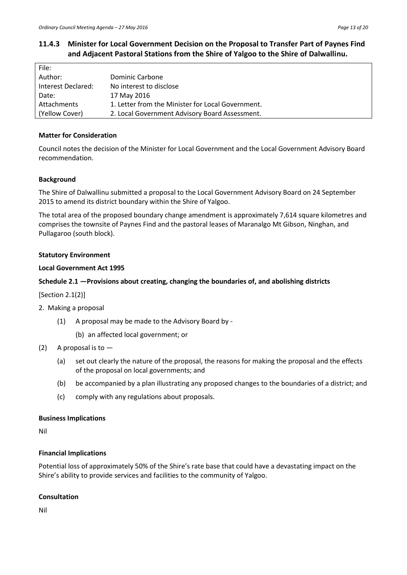## <span id="page-14-0"></span>**11.4.3 Minister for Local Government Decision on the Proposal to Transfer Part of Paynes Find and Adjacent Pastoral Stations from the Shire of Yalgoo to the Shire of Dalwallinu.**

| File:              |                                                   |
|--------------------|---------------------------------------------------|
| Author:            | <b>Dominic Carbone</b>                            |
| Interest Declared: | No interest to disclose                           |
| Date:              | 17 May 2016                                       |
| Attachments        | 1. Letter from the Minister for Local Government. |
| (Yellow Cover)     | 2. Local Government Advisory Board Assessment.    |

#### **Matter for Consideration**

Council notes the decision of the Minister for Local Government and the Local Government Advisory Board recommendation.

#### **Background**

The Shire of Dalwallinu submitted a proposal to the Local Government Advisory Board on 24 September 2015 to amend its district boundary within the Shire of Yalgoo.

The total area of the proposed boundary change amendment is approximately 7,614 square kilometres and comprises the townsite of Paynes Find and the pastoral leases of Maranalgo Mt Gibson, Ninghan, and Pullagaroo (south block).

#### **Statutory Environment**

#### **Local Government Act 1995**

#### **Schedule 2.1 —Provisions about creating, changing the boundaries of, and abolishing districts**

#### [Section 2.1(2)]

- 2. Making a proposal
	- (1) A proposal may be made to the Advisory Board by -

(b) an affected local government; or

#### (2) A proposal is to  $-$

- (a) set out clearly the nature of the proposal, the reasons for making the proposal and the effects of the proposal on local governments; and
- (b) be accompanied by a plan illustrating any proposed changes to the boundaries of a district; and
- (c) comply with any regulations about proposals.

#### **Business Implications**

Nil

#### **Financial Implications**

Potential loss of approximately 50% of the Shire's rate base that could have a devastating impact on the Shire's ability to provide services and facilities to the community of Yalgoo.

#### **Consultation**

Nil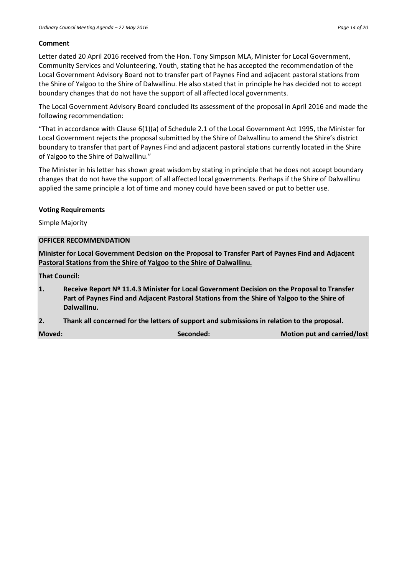#### **Comment**

Letter dated 20 April 2016 received from the Hon. Tony Simpson MLA, Minister for Local Government, Community Services and Volunteering, Youth, stating that he has accepted the recommendation of the Local Government Advisory Board not to transfer part of Paynes Find and adjacent pastoral stations from the Shire of Yalgoo to the Shire of Dalwallinu. He also stated that in principle he has decided not to accept boundary changes that do not have the support of all affected local governments.

The Local Government Advisory Board concluded its assessment of the proposal in April 2016 and made the following recommendation:

"That in accordance with Clause 6(1)(a) of Schedule 2.1 of the Local Government Act 1995, the Minister for Local Government rejects the proposal submitted by the Shire of Dalwallinu to amend the Shire's district boundary to transfer that part of Paynes Find and adjacent pastoral stations currently located in the Shire of Yalgoo to the Shire of Dalwallinu."

The Minister in his letter has shown great wisdom by stating in principle that he does not accept boundary changes that do not have the support of all affected local governments. Perhaps if the Shire of Dalwallinu applied the same principle a lot of time and money could have been saved or put to better use.

#### **Voting Requirements**

Simple Majority

#### **OFFICER RECOMMENDATION**

**Minister for Local Government Decision on the Proposal to Transfer Part of Paynes Find and Adjacent Pastoral Stations from the Shire of Yalgoo to the Shire of Dalwallinu.**

**That Council:**

- **1. Receive Report Nº 11.4.3 Minister for Local Government Decision on the Proposal to Transfer Part of Paynes Find and Adjacent Pastoral Stations from the Shire of Yalgoo to the Shire of Dalwallinu.**
- **2. Thank all concerned for the letters of support and submissions in relation to the proposal.**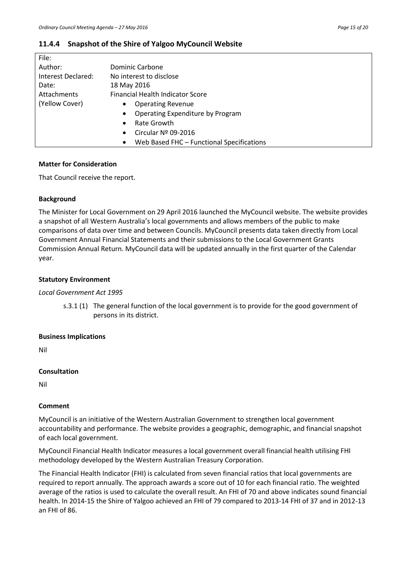#### <span id="page-16-0"></span>**11.4.4 Snapshot of the Shire of Yalgoo MyCouncil Website**

| File:              |                                                        |  |
|--------------------|--------------------------------------------------------|--|
| Author:            | Dominic Carbone                                        |  |
| Interest Declared: | No interest to disclose                                |  |
| Date:              | 18 May 2016                                            |  |
| <b>Attachments</b> | <b>Financial Health Indicator Score</b>                |  |
| (Yellow Cover)     | <b>Operating Revenue</b><br>$\bullet$                  |  |
|                    | Operating Expenditure by Program<br>$\bullet$          |  |
|                    | Rate Growth<br>$\bullet$                               |  |
|                    | Circular $N°$ 09-2016<br>$\bullet$                     |  |
|                    | Web Based FHC - Functional Specifications<br>$\bullet$ |  |

#### **Matter for Consideration**

That Council receive the report.

#### **Background**

The Minister for Local Government on 29 April 2016 launched the MyCouncil website. The website provides a snapshot of all Western Australia's local governments and allows members of the public to make comparisons of data over time and between Councils. MyCouncil presents data taken directly from Local Government Annual Financial Statements and their submissions to the Local Government Grants Commission Annual Return. MyCouncil data will be updated annually in the first quarter of the Calendar year.

#### **Statutory Environment**

*Local Government Act 1995*

s.3.1 (1) The general function of the local government is to provide for the good government of persons in its district.

#### **Business Implications**

Nil

#### **Consultation**

Nil

#### **Comment**

MyCouncil is an initiative of the Western Australian Government to strengthen local government accountability and performance. The website provides a geographic, demographic, and financial snapshot of each local government.

MyCouncil Financial Health Indicator measures a local government overall financial health utilising FHI methodology developed by the Western Australian Treasury Corporation.

The Financial Health Indicator (FHI) is calculated from seven financial ratios that local governments are required to report annually. The approach awards a score out of 10 for each financial ratio. The weighted average of the ratios is used to calculate the overall result. An FHI of 70 and above indicates sound financial health. In 2014-15 the Shire of Yalgoo achieved an FHI of 79 compared to 2013-14 FHI of 37 and in 2012-13 an FHI of 86.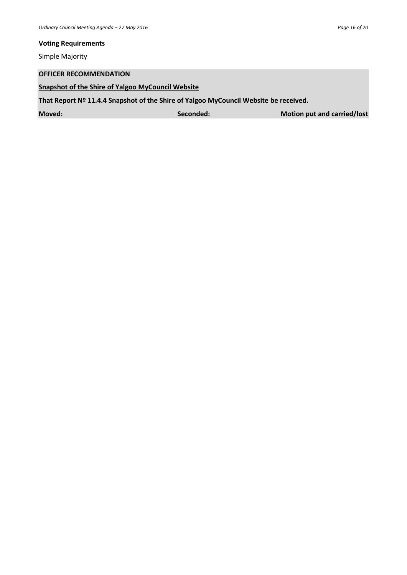#### **Voting Requirements**

Simple Majority

### **OFFICER RECOMMENDATION**

## **Snapshot of the Shire of Yalgoo MyCouncil Website**

**That Report Nº 11.4.4 Snapshot of the Shire of Yalgoo MyCouncil Website be received.**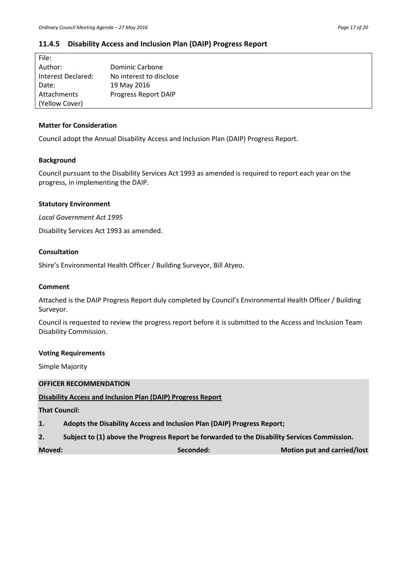#### <span id="page-18-0"></span>**11.4.5 Disability Access and Inclusion Plan (DAIP) Progress Report**

| File:              |                         |
|--------------------|-------------------------|
| Author:            | Dominic Carbone         |
| Interest Declared: | No interest to disclose |
| Date:              | 19 May 2016             |
| Attachments        | Progress Report DAIP    |
| (Yellow Cover)     |                         |

#### **Matter for Consideration**

Council adopt the Annual Disability Access and Inclusion Plan (DAIP) Progress Report.

#### **Background**

Council pursuant to the Disability Services Act 1993 as amended is required to report each year on the progress, in implementing the DAIP.

#### **Statutory Environment**

*Local Government Act 1995*

Disability Services Act 1993 as amended.

#### **Consultation**

Shire's Environmental Health Officer / Building Surveyor, Bill Atyeo.

#### **Comment**

Attached is the DAIP Progress Report duly completed by Council's Environmental Health Officer / Building Surveyor.

Council is requested to review the progress report before it is submitted to the Access and Inclusion Team Disability Commission.

#### **Voting Requirements**

Simple Majority

**OFFICER RECOMMENDATION**

**Disability Access and Inclusion Plan (DAIP) Progress Report**

**That Council:**

**1. Adopts the Disability Access and Inclusion Plan (DAIP) Progress Report;**

**2. Subject to (1) above the Progress Report be forwarded to the Disability Services Commission.**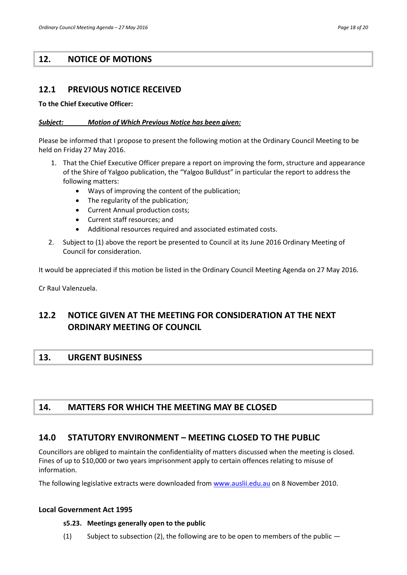## <span id="page-19-0"></span>**12. NOTICE OF MOTIONS**

## <span id="page-19-1"></span>**12.1 PREVIOUS NOTICE RECEIVED**

**To the Chief Executive Officer:**

#### *Subject: Motion of Which Previous Notice has been given:*

Please be informed that I propose to present the following motion at the Ordinary Council Meeting to be held on Friday 27 May 2016.

- 1. That the Chief Executive Officer prepare a report on improving the form, structure and appearance of the Shire of Yalgoo publication, the "Yalgoo Bulldust" in particular the report to address the following matters:
	- Ways of improving the content of the publication;
	- The regularity of the publication;
	- Current Annual production costs;
	- Current staff resources; and
	- Additional resources required and associated estimated costs.
- 2. Subject to (1) above the report be presented to Council at its June 2016 Ordinary Meeting of Council for consideration.

It would be appreciated if this motion be listed in the Ordinary Council Meeting Agenda on 27 May 2016.

<span id="page-19-2"></span>Cr Raul Valenzuela.

## **12.2 NOTICE GIVEN AT THE MEETING FOR CONSIDERATION AT THE NEXT ORDINARY MEETING OF COUNCIL**

## <span id="page-19-3"></span>**13. URGENT BUSINESS**

## <span id="page-19-4"></span>**14. MATTERS FOR WHICH THE MEETING MAY BE CLOSED**

## <span id="page-19-5"></span>**14.0 STATUTORY ENVIRONMENT – MEETING CLOSED TO THE PUBLIC**

Councillors are obliged to maintain the confidentiality of matters discussed when the meeting is closed. Fines of up to \$10,000 or two years imprisonment apply to certain offences relating to misuse of information.

<span id="page-19-6"></span>The following legislative extracts were downloaded from [www.auslii.edu.au](http://www.auslii.edu.au/) on 8 November 2010.

#### **Local Government Act 1995**

#### **s5.23. Meetings generally open to the public**

(1) Subject to subsection (2), the following are to be open to members of the public  $-$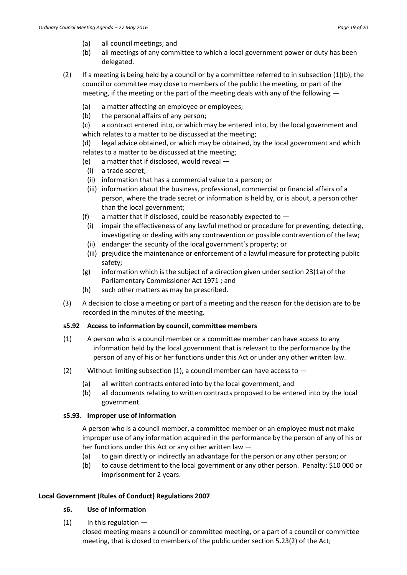- (a) all council meetings; and
- (b) all meetings of any committee to which a local government power or duty has been delegated.
- (2) If a meeting is being held by a council or by a committee referred to in subsection  $(1)(b)$ , the council or committee may close to members of the public the meeting, or part of the meeting, if the meeting or the part of the meeting deals with any of the following —
	- (a) a matter affecting an employee or employees;
	- (b) the personal affairs of any person;

(c) a contract entered into, or which may be entered into, by the local government and which relates to a matter to be discussed at the meeting;

(d) legal advice obtained, or which may be obtained, by the local government and which relates to a matter to be discussed at the meeting;

- (e) a matter that if disclosed, would reveal
	- (i) a trade secret;
	- (ii) information that has a commercial value to a person; or
	- (iii) information about the business, professional, commercial or financial affairs of a person, where the trade secret or information is held by, or is about, a person other than the local government;
- (f) a matter that if disclosed, could be reasonably expected to  $-$ 
	- (i) impair the effectiveness of any lawful method or procedure for preventing, detecting, investigating or dealing with any contravention or possible contravention of the law;
- (ii) endanger the security of the local government's property; or
- (iii) prejudice the maintenance or enforcement of a lawful measure for protecting public safety;
- (g) information which is the subject of a direction given under section 23(1a) of the Parliamentary Commissioner Act 1971 ; and
- (h) such other matters as may be prescribed.
- (3) A decision to close a meeting or part of a meeting and the reason for the decision are to be recorded in the minutes of the meeting.

#### **s5.92 Access to information by council, committee members**

- (1) A person who is a council member or a committee member can have access to any information held by the local government that is relevant to the performance by the person of any of his or her functions under this Act or under any other written law.
- (2) Without limiting subsection (1), a council member can have access to  $-$ 
	- (a) all written contracts entered into by the local government; and
	- (b) all documents relating to written contracts proposed to be entered into by the local government.

#### **s5.93. Improper use of information**

A person who is a council member, a committee member or an employee must not make improper use of any information acquired in the performance by the person of any of his or her functions under this Act or any other written law —

- (a) to gain directly or indirectly an advantage for the person or any other person; or
- (b) to cause detriment to the local government or any other person. Penalty: \$10 000 or imprisonment for 2 years.

## **Local Government (Rules of Conduct) Regulations 2007**

#### **s6. Use of information**

 $(1)$  In this regulation  $-$ 

closed meeting means a council or committee meeting, or a part of a council or committee meeting, that is closed to members of the public under section 5.23(2) of the Act;